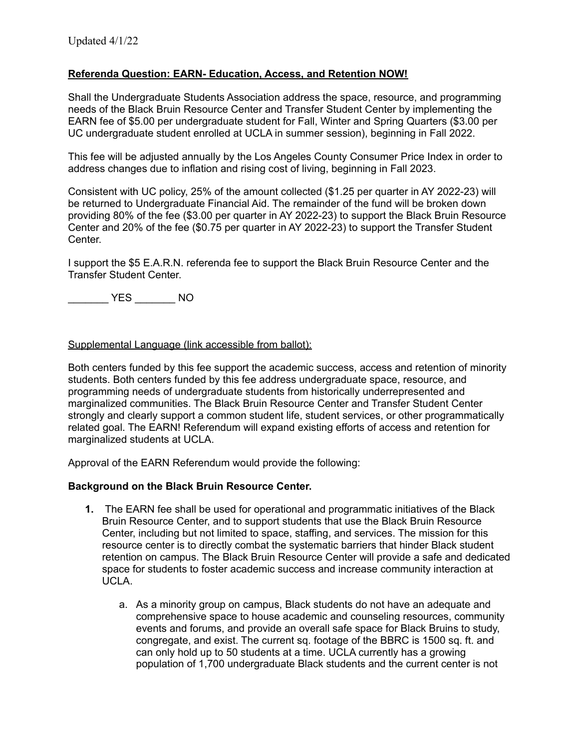## **Referenda Question: EARN- Education, Access, and Retention NOW!**

Shall the Undergraduate Students Association address the space, resource, and programming needs of the Black Bruin Resource Center and Transfer Student Center by implementing the EARN fee of \$5.00 per undergraduate student for Fall, Winter and Spring Quarters (\$3.00 per UC undergraduate student enrolled at UCLA in summer session), beginning in Fall 2022.

This fee will be adjusted annually by the Los Angeles County Consumer Price Index in order to address changes due to inflation and rising cost of living, beginning in Fall 2023.

Consistent with UC policy, 25% of the amount collected (\$1.25 per quarter in AY 2022-23) will be returned to Undergraduate Financial Aid. The remainder of the fund will be broken down providing 80% of the fee (\$3.00 per quarter in AY 2022-23) to support the Black Bruin Resource Center and 20% of the fee (\$0.75 per quarter in AY 2022-23) to support the Transfer Student Center.

I support the \$5 E.A.R.N. referenda fee to support the Black Bruin Resource Center and the Transfer Student Center.

\_\_\_\_\_\_\_ YES \_\_\_\_\_\_\_ NO

## Supplemental Language (link accessible from ballot):

Both centers funded by this fee support the academic success, access and retention of minority students. Both centers funded by this fee address undergraduate space, resource, and programming needs of undergraduate students from historically underrepresented and marginalized communities. The Black Bruin Resource Center and Transfer Student Center strongly and clearly support a common student life, student services, or other programmatically related goal. The EARN! Referendum will expand existing efforts of access and retention for marginalized students at UCLA.

Approval of the EARN Referendum would provide the following:

## **Background on the Black Bruin Resource Center.**

- **1.** The EARN fee shall be used for operational and programmatic initiatives of the Black Bruin Resource Center, and to support students that use the Black Bruin Resource Center, including but not limited to space, staffing, and services. The mission for this resource center is to directly combat the systematic barriers that hinder Black student retention on campus. The Black Bruin Resource Center will provide a safe and dedicated space for students to foster academic success and increase community interaction at UCLA.
	- a. As a minority group on campus, Black students do not have an adequate and comprehensive space to house academic and counseling resources, community events and forums, and provide an overall safe space for Black Bruins to study, congregate, and exist. The current sq. footage of the BBRC is 1500 sq. ft. and can only hold up to 50 students at a time. UCLA currently has a growing population of 1,700 undergraduate Black students and the current center is not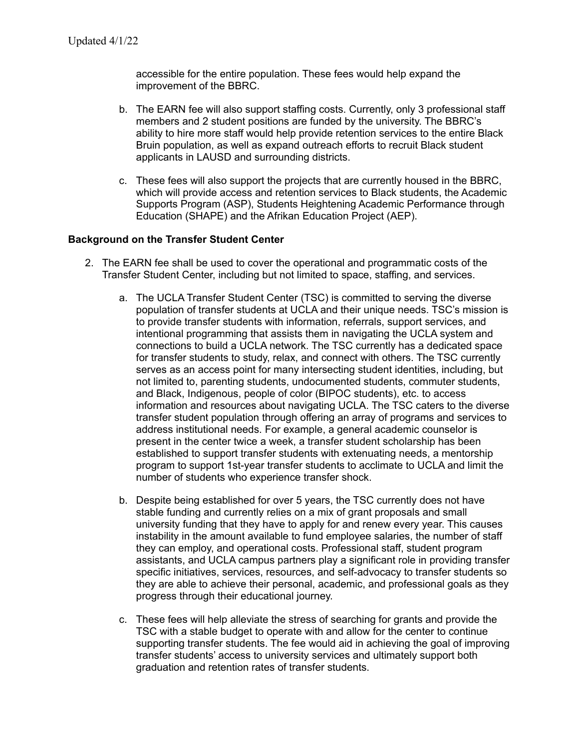accessible for the entire population. These fees would help expand the improvement of the BBRC.

- b. The EARN fee will also support staffing costs. Currently, only 3 professional staff members and 2 student positions are funded by the university. The BBRC's ability to hire more staff would help provide retention services to the entire Black Bruin population, as well as expand outreach efforts to recruit Black student applicants in LAUSD and surrounding districts.
- c. These fees will also support the projects that are currently housed in the BBRC, which will provide access and retention services to Black students, the Academic Supports Program (ASP), Students Heightening Academic Performance through Education (SHAPE) and the Afrikan Education Project (AEP).

## **Background on the Transfer Student Center**

- 2. The EARN fee shall be used to cover the operational and programmatic costs of the Transfer Student Center, including but not limited to space, staffing, and services.
	- a. The UCLA Transfer Student Center (TSC) is committed to serving the diverse population of transfer students at UCLA and their unique needs. TSC's mission is to provide transfer students with information, referrals, support services, and intentional programming that assists them in navigating the UCLA system and connections to build a UCLA network. The TSC currently has a dedicated space for transfer students to study, relax, and connect with others. The TSC currently serves as an access point for many intersecting student identities, including, but not limited to, parenting students, undocumented students, commuter students, and Black, Indigenous, people of color (BIPOC students), etc. to access information and resources about navigating UCLA. The TSC caters to the diverse transfer student population through offering an array of programs and services to address institutional needs. For example, a general academic counselor is present in the center twice a week, a transfer student scholarship has been established to support transfer students with extenuating needs, a mentorship program to support 1st-year transfer students to acclimate to UCLA and limit the number of students who experience transfer shock.
	- b. Despite being established for over 5 years, the TSC currently does not have stable funding and currently relies on a mix of grant proposals and small university funding that they have to apply for and renew every year. This causes instability in the amount available to fund employee salaries, the number of staff they can employ, and operational costs. Professional staff, student program assistants, and UCLA campus partners play a significant role in providing transfer specific initiatives, services, resources, and self-advocacy to transfer students so they are able to achieve their personal, academic, and professional goals as they progress through their educational journey.
	- c. These fees will help alleviate the stress of searching for grants and provide the TSC with a stable budget to operate with and allow for the center to continue supporting transfer students. The fee would aid in achieving the goal of improving transfer students' access to university services and ultimately support both graduation and retention rates of transfer students.